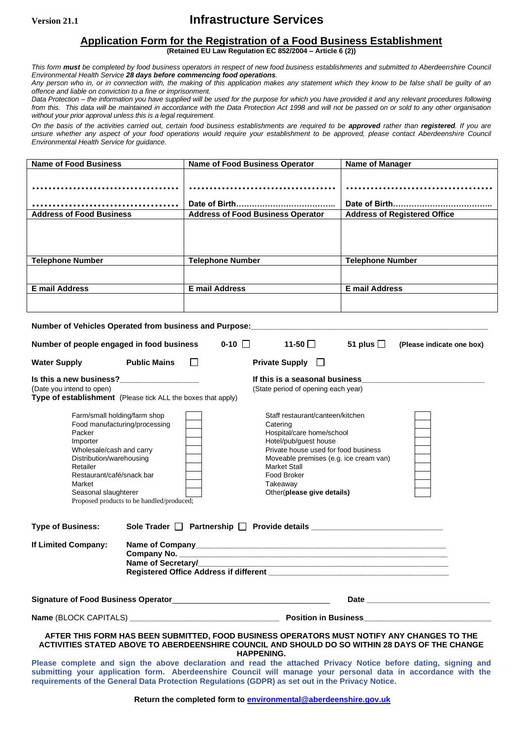## **Version 21.1 Infrastructure Services**

### **Application Form for the Registration of a Food Business Establishment**

**(Retained EU Law Regulation EC 852/2004 – Article 6 (2))**

*This form must be completed by food business operators in respect of new food business establishments and submitted to Aberdeenshire Council Environmental Health Service 28 days before commencing food operations.*

*Any person who in, or in connection with, the making of this application makes any statement which they know to be false shall be guilty of an offence and liable on conviction to a fine or imprisonment.*

*Data Protection – the information you have supplied will be used for the purpose for which you have provided it and any relevant procedures following from this. This data will be maintained in accordance with the Data Protection Act 1998 and will not be passed on or sold to any other organisation without your prior approval unless this is a legal requirement.*

*On the basis of the activities carried out, certain food business establishments are required to be approved rather than registered. If you are unsure whether any aspect of your food operations would require your establishment to be approved, please contact Aberdeenshire Council Environmental Health Service for guidance.*

| <b>Name of Food Business</b>                                                                                                                                                                                      |                                                                                                                | <b>Name of Food Business Operator</b>                         |                                                                                                                      | <b>Name of Manager</b>              |                           |  |
|-------------------------------------------------------------------------------------------------------------------------------------------------------------------------------------------------------------------|----------------------------------------------------------------------------------------------------------------|---------------------------------------------------------------|----------------------------------------------------------------------------------------------------------------------|-------------------------------------|---------------------------|--|
|                                                                                                                                                                                                                   |                                                                                                                |                                                               |                                                                                                                      |                                     |                           |  |
|                                                                                                                                                                                                                   |                                                                                                                |                                                               |                                                                                                                      |                                     |                           |  |
|                                                                                                                                                                                                                   |                                                                                                                | <b>Address of Food Business Operator</b>                      |                                                                                                                      |                                     |                           |  |
| <b>Address of Food Business</b>                                                                                                                                                                                   |                                                                                                                |                                                               |                                                                                                                      | <b>Address of Registered Office</b> |                           |  |
|                                                                                                                                                                                                                   |                                                                                                                |                                                               |                                                                                                                      |                                     |                           |  |
|                                                                                                                                                                                                                   |                                                                                                                |                                                               |                                                                                                                      |                                     |                           |  |
| <b>Telephone Number</b>                                                                                                                                                                                           |                                                                                                                | <b>Telephone Number</b>                                       |                                                                                                                      | <b>Telephone Number</b>             |                           |  |
|                                                                                                                                                                                                                   |                                                                                                                |                                                               |                                                                                                                      |                                     |                           |  |
| <b>E</b> mail Address                                                                                                                                                                                             |                                                                                                                | <b>E</b> mail Address                                         |                                                                                                                      | <b>E</b> mail Address               |                           |  |
|                                                                                                                                                                                                                   |                                                                                                                |                                                               |                                                                                                                      |                                     |                           |  |
|                                                                                                                                                                                                                   |                                                                                                                |                                                               |                                                                                                                      |                                     |                           |  |
| Number of Vehicles Operated from business and Purpose: Martin Martin Martin Martin Martin Martin Martin Martin                                                                                                    |                                                                                                                |                                                               |                                                                                                                      |                                     |                           |  |
| Number of people engaged in food business                                                                                                                                                                         |                                                                                                                | $0-10$ $\Box$                                                 | 11-50 $\Box$                                                                                                         | 51 plus $\Box$                      | (Please indicate one box) |  |
| <b>Water Supply</b>                                                                                                                                                                                               | <b>Public Mains</b>                                                                                            | $\mathsf{L}$                                                  | Private Supply $\Box$                                                                                                |                                     |                           |  |
| If this is a seasonal business_<br>Is this a new business?                                                                                                                                                        |                                                                                                                |                                                               |                                                                                                                      |                                     |                           |  |
| (Date you intend to open)<br>(State period of opening each year)<br>Type of establishment (Please tick ALL the boxes that apply)                                                                                  |                                                                                                                |                                                               |                                                                                                                      |                                     |                           |  |
| Farm/small holding/farm shop<br>Staff restaurant/canteen/kitchen                                                                                                                                                  |                                                                                                                |                                                               |                                                                                                                      |                                     |                           |  |
| Food manufacturing/processing                                                                                                                                                                                     |                                                                                                                | Catering                                                      |                                                                                                                      |                                     |                           |  |
| Packer                                                                                                                                                                                                            |                                                                                                                | Hospital/care home/school                                     |                                                                                                                      |                                     |                           |  |
| Importer<br>Wholesale/cash and carry                                                                                                                                                                              |                                                                                                                | Hotel/pub/guest house<br>Private house used for food business |                                                                                                                      |                                     |                           |  |
| Distribution/warehousing                                                                                                                                                                                          |                                                                                                                | Moveable premises (e.g. ice cream van)                        |                                                                                                                      |                                     |                           |  |
| Retailer                                                                                                                                                                                                          |                                                                                                                | <b>Market Stall</b>                                           |                                                                                                                      |                                     |                           |  |
| Restaurant/café/snack bar                                                                                                                                                                                         |                                                                                                                | Food Broker                                                   |                                                                                                                      |                                     |                           |  |
| Market                                                                                                                                                                                                            |                                                                                                                | Takeaway                                                      |                                                                                                                      |                                     |                           |  |
| Seasonal slaughterer<br>Proposed products to be handled/produced;                                                                                                                                                 |                                                                                                                | Other(please give details)                                    |                                                                                                                      |                                     |                           |  |
|                                                                                                                                                                                                                   |                                                                                                                |                                                               |                                                                                                                      |                                     |                           |  |
| <b>Type of Business:</b>                                                                                                                                                                                          |                                                                                                                |                                                               | Sole Trader $\Box$ Partnership $\Box$ Provide details                                                                |                                     |                           |  |
| If Limited Company:                                                                                                                                                                                               | Name of Company                                                                                                |                                                               | <u> 1989 - Johann Stein, marwolaethau a bhann an t-Amhair an t-Amhair an t-Amhair an t-Amhair an t-Amhair an t-A</u> |                                     |                           |  |
| Company No.                                                                                                                                                                                                       |                                                                                                                |                                                               |                                                                                                                      |                                     |                           |  |
|                                                                                                                                                                                                                   | Name of Secretary/                                                                                             |                                                               |                                                                                                                      |                                     |                           |  |
|                                                                                                                                                                                                                   |                                                                                                                |                                                               |                                                                                                                      |                                     |                           |  |
| Signature of Food Business Operator Manual Manual Manual Manual Manual Manual Manual                                                                                                                              |                                                                                                                |                                                               |                                                                                                                      |                                     |                           |  |
|                                                                                                                                                                                                                   |                                                                                                                |                                                               |                                                                                                                      |                                     |                           |  |
|                                                                                                                                                                                                                   |                                                                                                                |                                                               |                                                                                                                      |                                     |                           |  |
| AFTER THIS FORM HAS BEEN SUBMITTED, FOOD BUSINESS OPERATORS MUST NOTIFY ANY CHANGES TO THE<br>ACTIVITIES STATED ABOVE TO ABERDEENSHIRE COUNCIL AND SHOULD DO SO WITHIN 28 DAYS OF THE CHANGE<br><b>HAPPENING.</b> |                                                                                                                |                                                               |                                                                                                                      |                                     |                           |  |
|                                                                                                                                                                                                                   | Please complete and sign the above declaration and read the attached Privacy Notice before dating, signing and |                                                               |                                                                                                                      |                                     |                           |  |
| submitting your application form. Aberdeenshire Council will manage your personal data in accordance with the                                                                                                     |                                                                                                                |                                                               |                                                                                                                      |                                     |                           |  |

**requirements of the General Data Protection Regulations (GDPR) as set out in the Privacy Notice.**